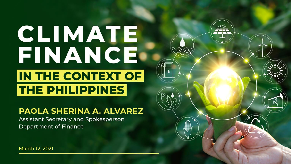# CLIMATE FINANCE IN THE CONTEXT OF **THE PHILIPPINES**

#### PAOLA SHERINA A. ALVAREZ

Assistant Secretary and Spokesperson **Department of Finance**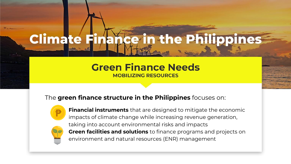#### ce in the Philippines **Climate F**

#### **Green Finance Needs MOBILIZING RESOURCES**

#### The **green finance structure in the Philippines** focuses on:



**Financial instruments** that are designed to mitigate the economic impacts of climate change while increasing revenue generation, taking into account environmental risks and impacts **Green facilities and solutions** to finance programs and projects on environment and natural resources (ENR) management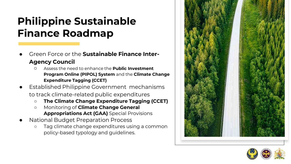### **Philippine Sustainable Finance Roadmap**

- Green Force or the **Sustainable Finance Inter-Agency Council**
	- Assess the need to enhance the **Public Investment Program Online (PIPOL) System** and the **Climate Change Expenditure Tagging (CCET)**
- **Established Philippine Government mechanisms** to track climate-related public expenditures
	- **The Climate Change Expenditure Tagging (CCET)**
	- Monitoring of **Climate Change General Appropriations Act (GAA)** Special Provisions
- **National Budget Preparation Process** 
	- Tag climate change expenditures using a common policy-based typology and guidelines.



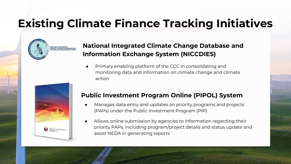### **Existing Climate Finance Tracking Initiatives**



#### **National Integrated Climate Change Database and Information Exchange System (NICCDIES)**

Primary enabling platform of the CCC in consolidating and monitoring data and information on climate change and climate action



#### **Public Investment Program Online (PIPOL) System**

- Manages data entry and updates on priority programs and projects (PAPs) under the Public Investment Program (PIP)
- Allows online submission by agencies to information regarding their priority PAPs, including program/project details and status update and assist NEDA in generating reports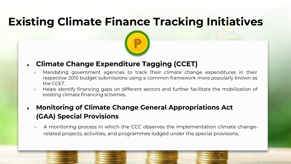### **Existing Climate Finance Tracking Initiatives**



#### ● **Climate Change Expenditure Tagging (CCET)**

- Mandating government agencies to track their climate change expenditures in their respective 2015 budget submissions using a common framework more popularly known as the CCET.
- Helps identify financing gaps on different sectors and further facilitate the mobilization of existing climate financing schemes.
- **Monitoring of Climate Change General Appropriations Act (GAA) Special Provisions**
	- A monitoring process in which the CCC observes the implementation climate changerelated projects, activities, and programmes lodged under the special provisions.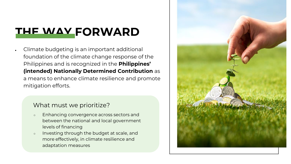### **THE WAY FORWARD**

Climate budgeting is an important additional foundation of the climate change response of the Philippines and is recognized in the **Philippines' (intended) Nationally Determined Contribution** as a means to enhance climate resilience and promote mitigation efforts.

#### What must we prioritize?

- Enhancing convergence across sectors and between the national and local government levels of financing
- Investing through the budget at scale, and more effectively, in climate resilience and adaptation measures